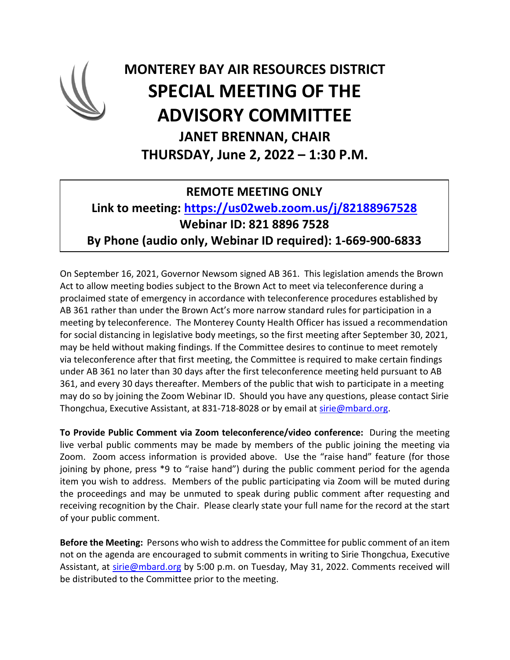

## **MONTEREY BAY AIR RESOURCES DISTRICT SPECIAL MEETING OF THE ADVISORY COMMITTEE JANET BRENNAN, CHAIR THURSDAY, June 2, 2022 – 1:30 P.M.**

## **REMOTE MEETING ONLY**

## **Link to meeting: <https://us02web.zoom.us/j/82188967528> Webinar ID: 821 8896 7528 By Phone (audio only, Webinar ID required): 1-669-900-6833**

On September 16, 2021, Governor Newsom signed AB 361. This legislation amends the Brown Act to allow meeting bodies subject to the Brown Act to meet via teleconference during a proclaimed state of emergency in accordance with teleconference procedures established by AB 361 rather than under the Brown Act's more narrow standard rules for participation in a meeting by teleconference. The Monterey County Health Officer has issued a recommendation for social distancing in legislative body meetings, so the first meeting after September 30, 2021, may be held without making findings. If the Committee desires to continue to meet remotely via teleconference after that first meeting, the Committee is required to make certain findings under AB 361 no later than 30 days after the first teleconference meeting held pursuant to AB 361, and every 30 days thereafter. Members of the public that wish to participate in a meeting may do so by joining the Zoom Webinar ID. Should you have any questions, please contact Sirie Thongchua, Executive Assistant, at 831-718-8028 or by email at [sirie@mbard.org.](mailto:sirie@mbard.org)

**To Provide Public Comment via Zoom teleconference/video conference:** During the meeting live verbal public comments may be made by members of the public joining the meeting via Zoom. Zoom access information is provided above. Use the "raise hand" feature (for those joining by phone, press \*9 to "raise hand") during the public comment period for the agenda item you wish to address. Members of the public participating via Zoom will be muted during the proceedings and may be unmuted to speak during public comment after requesting and receiving recognition by the Chair. Please clearly state your full name for the record at the start of your public comment.

**Before the Meeting:** Persons who wish to address the Committee for public comment of an item not on the agenda are encouraged to submit comments in writing to Sirie Thongchua, Executive Assistant, at [sirie@mbard.org](mailto:sirie@mbard.org) by 5:00 p.m. on Tuesday, May 31, 2022. Comments received will be distributed to the Committee prior to the meeting.